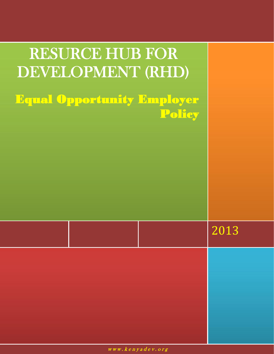| RESURCE HUB FOR<br>DEVELOPMENT (RHD) |                                                                                                                                                                                                                                                                                                                                                                                                                                                                                                                                   |                                            |
|--------------------------------------|-----------------------------------------------------------------------------------------------------------------------------------------------------------------------------------------------------------------------------------------------------------------------------------------------------------------------------------------------------------------------------------------------------------------------------------------------------------------------------------------------------------------------------------|--------------------------------------------|
|                                      | <b>Equal Opportunity Employer</b><br>Policy                                                                                                                                                                                                                                                                                                                                                                                                                                                                                       |                                            |
|                                      |                                                                                                                                                                                                                                                                                                                                                                                                                                                                                                                                   |                                            |
|                                      |                                                                                                                                                                                                                                                                                                                                                                                                                                                                                                                                   |                                            |
|                                      |                                                                                                                                                                                                                                                                                                                                                                                                                                                                                                                                   |                                            |
|                                      | and the state of the state of the state of the state of the state of the state of the state of the state of th                                                                                                                                                                                                                                                                                                                                                                                                                    |                                            |
|                                      | and the state of the state of the state of the state of the state of the state of the state of the state of th<br>$\mathcal{L}(\mathcal{L}(\mathcal{L}))$ and $\mathcal{L}(\mathcal{L}(\mathcal{L}))$ and $\mathcal{L}(\mathcal{L}(\mathcal{L}))$ and $\mathcal{L}(\mathcal{L}(\mathcal{L}))$<br>and the state of the state of the state of the state of the state of the state of the state of the state of th<br>and the state of the state of the state of the state of the state of the state of the state of the state of th | and the state of the state of the state of |
|                                      | $\mathcal{L}(\mathcal{L}(\mathcal{L}))$ and the set of $\mathcal{L}(\mathcal{L})$ and $\mathcal{L}(\mathcal{L})$ and $\mathcal{L}(\mathcal{L})$ and $\mathcal{L}(\mathcal{L})$<br>$\mathcal{L}(\mathcal{L})$ and $\mathcal{L}(\mathcal{L})$ and $\mathcal{L}(\mathcal{L})$ and $\mathcal{L}(\mathcal{L})$ and $\mathcal{L}(\mathcal{L})$                                                                                                                                                                                          |                                            |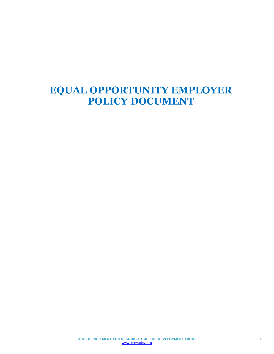# **EQUAL OPPORTUNITY EMPLOYER POLICY DOCUMENT**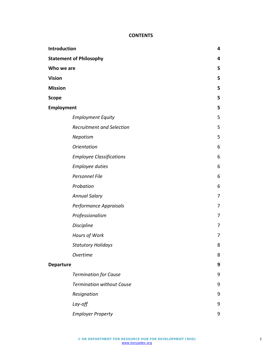# **CONTENTS**

| Introduction                   |                                  |                |
|--------------------------------|----------------------------------|----------------|
| <b>Statement of Philosophy</b> |                                  | 4              |
| Who we are                     |                                  | 5              |
| <b>Vision</b>                  |                                  | 5              |
| <b>Mission</b>                 |                                  | 5              |
| <b>Scope</b>                   |                                  | 5              |
| Employment                     |                                  | 5              |
|                                | <b>Employment Equity</b>         | 5              |
|                                | <b>Recruitment and Selection</b> | 5              |
|                                | Nepotism                         | 5              |
|                                | <b>Orientation</b>               | 6              |
|                                | <b>Employee Classifications</b>  | 6              |
|                                | <b>Employee duties</b>           | 6              |
|                                | Personnel File                   | $6\,$          |
|                                | Probation                        | 6              |
|                                | <b>Annual Salary</b>             | 7              |
|                                | Performance Appraisals           | 7              |
|                                | Professionalism                  | $\overline{7}$ |
|                                | <b>Discipline</b>                | $\overline{7}$ |
|                                | Hours of Work                    | 7              |
|                                | <b>Statutory Holidays</b>        | 8              |
|                                | Overtime                         | 8              |
| <b>Departure</b>               |                                  | 9              |
|                                | <b>Termination for Cause</b>     | 9              |
|                                | <b>Termination without Cause</b> | 9              |
|                                | Resignation                      | 9              |
|                                | Lay-off                          | 9              |
|                                | <b>Employer Property</b>         | 9              |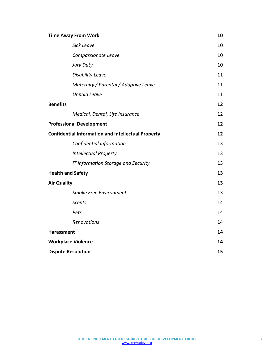| <b>Time Away From Work</b>                                | 10 |
|-----------------------------------------------------------|----|
| <b>Sick Leave</b>                                         | 10 |
| Compassionate Leave                                       | 10 |
| Jury Duty                                                 | 10 |
| <b>Disability Leave</b>                                   | 11 |
| Maternity / Parental / Adoptive Leave                     | 11 |
| <b>Unpaid Leave</b>                                       | 11 |
| <b>Benefits</b>                                           | 12 |
| Medical, Dental, Life Insurance                           | 12 |
| <b>Professional Development</b>                           | 12 |
| <b>Confidential Information and Intellectual Property</b> | 12 |
| Confidential Information                                  | 13 |
| <b>Intellectual Property</b>                              | 13 |
| IT Information Storage and Security                       | 13 |
| <b>Health and Safety</b>                                  | 13 |
| <b>Air Quality</b>                                        | 13 |
| <b>Smoke Free Environment</b>                             | 13 |
| <b>Scents</b>                                             | 14 |
| Pets                                                      | 14 |
| <b>Renovations</b>                                        | 14 |
| <b>Harassment</b>                                         | 14 |
| <b>Workplace Violence</b>                                 | 14 |
| <b>Dispute Resolution</b>                                 | 15 |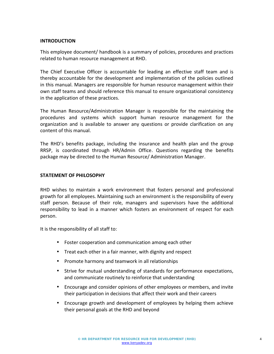## **INTRODUCTION**

This employee document/ handbook is a summary of policies, procedures and practices related to human resource management at RHD.

The Chief Executive Officer is accountable for leading an effective staff team and is thereby accountable for the development and implementation of the policies outlined in this manual. Managers are responsible for human resource management within their own staff teams and should reference this manual to ensure organizational consistency in the application of these practices.

The Human Resource/Administration Manager is responsible for the maintaining the procedures and systems which support human resource management for the organization and is available to answer any questions or provide clarification on any content of this manual.

The RHD's benefits package, including the insurance and health plan and the group RRSP, is coordinated through HR/Admin Office. Questions regarding the benefits package may be directed to the Human Resource/ Administration Manager.

## **STATEMENT OF PHILOSOPHY**

RHD wishes to maintain a work environment that fosters personal and professional growth for all employees. Maintaining such an environment is the responsibility of every staff person. Because of their role, managers and supervisors have the additional responsibility to lead in a manner which fosters an environment of respect for each person.

It is the responsibility of all staff to:

- Foster cooperation and communication among each other
- Treat each other in a fair manner, with dignity and respect
- Promote harmony and teamwork in all relationships
- Strive for mutual understanding of standards for performance expectations, and communicate routinely to reinforce that understanding
- Encourage and consider opinions of other employees or members, and invite their participation in decisions that affect their work and their careers
- Encourage growth and development of employees by helping them achieve their personal goals at the RHD and beyond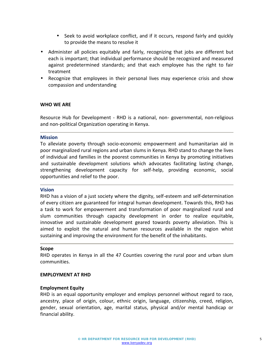- Seek to avoid workplace conflict, and if it occurs, respond fairly and quickly to provide the means to resolve it
- Administer all policies equitably and fairly, recognizing that jobs are different but each is important; that individual performance should be recognized and measured against predetermined standards; and that each employee has the right to fair treatment
- Recognize that employees in their personal lives may experience crisis and show compassion and understanding

## **WHO WE ARE**

Resource Hub for Development - RHD is a national, non- governmental, non-religious and non-political Organization operating in Kenya.

### **Mission**

To alleviate poverty through socio-economic empowerment and humanitarian aid in poor marginalized rural regions and urban slums in Kenya. RHD stand to change the lives of individual and families in the poorest communities in Kenya by promoting initiatives and sustainable development solutions which advocates facilitating lasting change, strengthening development capacity for self-help, providing economic, social opportunities and relief to the poor.

#### **Vision**

RHD has a vision of a just society where the dignity, self-esteem and self-determination of every citizen are guaranteed for integral human development. Towards this, RHD has a task to work for empowerment and transformation of poor marginalized rural and slum communities through capacity development in order to realize equitable, innovative and sustainable development geared towards poverty alleviation. This is aimed to exploit the natural and human resources available in the region whist sustaining and improving the environment for the benefit of the inhabitants.

#### **Scope**

RHD operates in Kenya in all the 47 Counties covering the rural poor and urban slum communities.

### **EMPLOYMENT AT RHD**

### **Employment Equity**

RHD is an equal opportunity employer and employs personnel without regard to race, ancestry, place of origin, colour, ethnic origin, language, citizenship, creed, religion, gender, sexual orientation, age, marital status, physical and/or mental handicap or financial ability.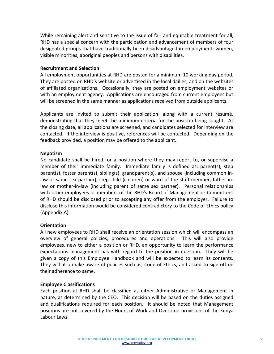While remaining alert and sensitive to the issue of fair and equitable treatment for all, RHD has a special concern with the participation and advancement of members of four designated groups that have traditionally been disadvantaged in employment: women, visible minorities, aboriginal peoples and persons with disabilities.

### **Recruitment and Selection**

All employment opportunities at RHD are posted for a minimum 10 working day period. They are posted on RHD's website or advertised in the local dailies, and on the websites of affiliated organizations. Occasionally, they are posted on employment websites or with an employment agency. Applications are encouraged from current employees but will be screened in the same manner as applications received from outside applicants.

Applicants are invited to submit their application, along with a current résumé, demonstrating that they meet the minimum criteria for the position being sought. At the closing date, all applications are screened, and candidates selected for interview are contacted. If the interview is positive, references will be contacted. Depending on the feedback provided, a position may be offered to the applicant.

### **Nepotism**

No candidate shall be hired for a position where they may report to, or supervise a member of their immediate family. Immediate family is defined as: parent(s), step parent(s), foster parent(s), sibling(s), grandparent(s), and spouse {including common inlaw or same sex partner}, step child (children) or ward of the staff member, father-inlaw or mother-in-law (including parent of same sex partner). Personal relationships with other employees or members of the RHD's Board of Management or Committees of RHD should be disclosed prior to accepting any offer from the employer. Failure to disclose this information would be considered contradictory to the Code of Ethics policy (Appendix A).

### **Orientation**

All new employees to RHD shall receive an orientation session which will encompass an overview of general policies, procedures and operations. This will also provide employees, new to either a position or RHD, an opportunity to learn the performance expectations management has with regard to the position in question. They will be given a copy of this Employee Handbook and will be expected to learn its contents. They will also make aware of policies such as, Code of Ethics, and asked to sign off on their adherence to same.

### **Employee Classifications**

Each position at RHD shall be classified as either Administrative or Management in nature, as determined by the CEO. This decision will be based on the duties assigned and qualifications required for each position. It should be noted that Management positions are not covered by the Hours of Work and Overtime provisions of the Kenya Labour Laws.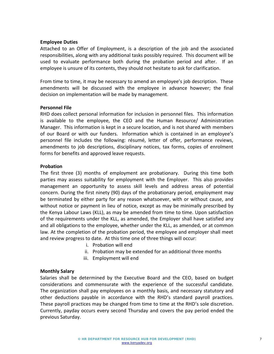## **Employee Duties**

Attached to an Offer of Employment, is a description of the job and the associated responsibilities, along with any additional tasks possibly required. This document will be used to evaluate performance both during the probation period and after. If an employee is unsure of its contents, they should not hesitate to ask for clarification.

From time to time, it may be necessary to amend an employee's job description. These amendments will be discussed with the employee in advance however; the final decision on implementation will be made by management.

## **Personnel File**

RHD does collect personal information for inclusion in personnel files. This information is available to the employee, the CEO and the Human Resource/ Administration Manager. This information is kept in a secure location, and is not shared with members of our Board or with our funders. Information which is contained in an employee's personnel file includes the following: résumé, letter of offer, performance reviews, amendments to job descriptions, disciplinary notices, tax forms, copies of enrolment forms for benefits and approved leave requests.

## **Probation**

The first three (3) months of employment are probationary. During this time both parties may assess suitability for employment with the Employer. This also provides management an opportunity to assess skill levels and address areas of potential concern. During the first ninety (90) days of the probationary period, employment may be terminated by either party for any reason whatsoever, with or without cause, and without notice or payment in lieu of notice, except as may be minimally prescribed by the Kenya Labour Laws (KLL), as may be amended from time to time. Upon satisfaction of the requirements under the KLL, as amended, the Employer shall have satisfied any and all obligations to the employee, whether under the KLL, as amended, or at common law. At the completion of the probation period, the employee and employer shall meet and review progress to date. At this time one of three things will occur:

- i. Probation will end
- ii. Probation may be extended for an additional three months
- iii. Employment will end

# **Monthly Salary**

Salaries shall be determined by the Executive Board and the CEO, based on budget considerations and commensurate with the experience of the successful candidate. The organization shall pay employees on a monthly basis, and necessary statutory and other deductions payable in accordance with the RHD's standard payroll practices. These payroll practices may be changed from time to time at the RHD's sole discretion. Currently, payday occurs every second Thursday and covers the pay period ended the previous Saturday.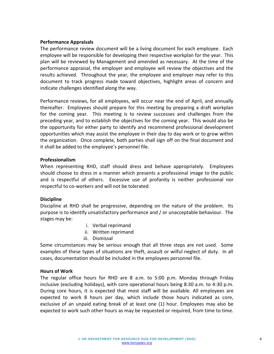## **Performance Appraisals**

The performance review document will be a living document for each employee. Each employee will be responsible for developing their respective workplan for the year. This plan will be reviewed by Management and amended as necessary. At the time of the performance appraisal, the employer and employee will review the objectives and the results achieved. Throughout the year, the employee and employer may refer to this document to track progress made toward objectives, highlight areas of concern and indicate challenges identified along the way.

Performance reviews, for all employees, will occur near the end of April, and annually thereafter. Employees should prepare for this meeting by preparing a draft workplan for the coming year. This meeting is to review successes and challenges from the preceding year, and to establish the objectives for the coming year. This would also be the opportunity for either party to identify and recommend professional development opportunities which may assist the employee in their day to day work or to grow within the organization. Once complete, both parties shall sign off on the final document and it shall be added to the employee's personnel file.

## **Professionalism**

When representing RHD, staff should dress and behave appropriately. Employees should choose to dress in a manner which presents a professional image to the public and is respectful of others. Excessive use of profanity is neither professional nor respectful to co-workers and will not be tolerated.

### **Discipline**

Discipline at RHD shall be progressive, depending on the nature of the problem. Its purpose is to identify unsatisfactory performance and / or unacceptable behaviour. The stages may be:

- i. Verbal reprimand
- ii. Written reprimand
- iii. Dismissal

Some circumstances may be serious enough that all three steps are not used. Some examples of these types of situations are theft, assault or wilful neglect of duty. In all cases, documentation should be included in the employees personnel file.

### **Hours of Work**

The regular office hours for RHD are 8 a.m. to 5:00 p.m. Monday through Friday inclusive (excluding holidays), with core operational hours being 8:30 a.m. to 4:30 p.m. During core hours, it is expected that most staff will be available. All employees are expected to work 8 hours per day, which include those hours indicated as core, exclusive of an unpaid eating break of at least one (1) hour. Employees may also be expected to work such other hours as may be requested or required, from time to time.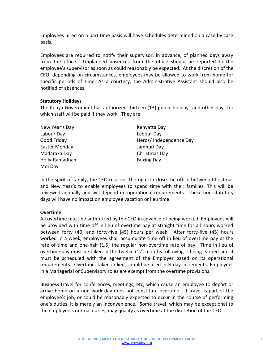Employees hired on a part time basis will have schedules determined on a case by case basis.

Employees are required to notify their supervisor, in advance, of planned days away from the office. Unplanned absences from the office should be reported to the employee's supervisor as soon as could reasonably be expected. At the discretion of the CEO, depending on circumstances, employees may be allowed to work from home for specific periods of time. As a courtesy, the Administrative Assistant should also be notified of absences.

## **Statutory Holidays**

The Kenya Government has authorized thirteen (13) public holidays and other days for which staff will be paid if they work. They are:

New Year's Day **Kenyatta Day** Labour Day Labour Day Easter Monday Jamhuri Day Madaraka Day Christmas Day Holly-Ramadhan Boxing Day Moi Day

Good Friday **Heros** Heros / Independence Day

In the spirit of family, the CEO reserves the right to close the office between Christmas and New Year's to enable employees to spend time with their families. This will be reviewed annually and will depend on operational requirements. These non-statutory days will have no impact on employee vacation or lieu time.

# **Overtime**

All overtime must be authorized by the CEO in advance of being worked. Employees will be provided with time off in lieu of overtime pay at straight time for all hours worked between forty (40) and forty-five (45) hours per week. After forty-five (45) hours worked in a week, employees shall accumulate time off in lieu of overtime pay at the rate of time and one-half (1.5) the regular non-overtime rate of pay. Time in lieu of overtime pay must be taken in the twelve (12) months following it being earned and it must be scheduled with the agreement of the Employer based on its operational requirements. Overtime, taken in lieu, should be used in  $\frac{1}{2}$  day increments. Employees in a Managerial or Supervisory roles are exempt from the overtime provisions.

Business travel for conferences, meetings, etc, which cause an employee to depart or arrive home on a non work day does not constitute overtime. If travel is part of the employee's job, or could be reasonably expected to occur in the course of performing one's duties, it is merely an inconvenience. Some travel, which may be exceptional to the employee's normal duties, may qualify as overtime at the discretion of the CEO.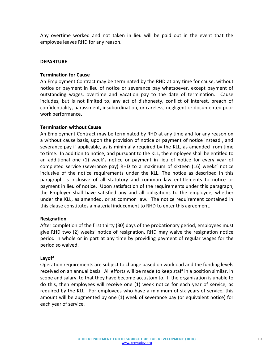Any overtime worked and not taken in lieu will be paid out in the event that the employee leaves RHD for any reason.

## **DEPARTURE**

## **Termination for Cause**

An Employment Contract may be terminated by the RHD at any time for cause, without notice or payment in lieu of notice or severance pay whatsoever, except payment of outstanding wages, overtime and vacation pay to the date of termination. Cause includes, but is not limited to, any act of dishonesty, conflict of interest, breach of confidentiality, harassment, insubordination, or careless, negligent or documented poor work performance.

### **Termination without Cause**

An Employment Contract may be terminated by RHD at any time and for any reason on a without cause basis, upon the provision of notice or payment of notice instead , and severance pay if applicable, as is minimally required by the KLL, as amended from time to time. In addition to notice, and pursuant to the KLL, the employee shall be entitled to an additional one (1) week's notice or payment in lieu of notice for every year of completed service (severance pay) RHD to a maximum of sixteen (16) weeks' notice inclusive of the notice requirements under the KLL. The notice as described in this paragraph is inclusive of all statutory and common law entitlements to notice or payment in lieu of notice. Upon satisfaction of the requirements under this paragraph, the Employer shall have satisfied any and all obligations to the employee, whether under the KLL, as amended, or at common law. The notice requirement contained in this clause constitutes a material inducement to RHD to enter this agreement.

### **Resignation**

After completion of the first thirty (30) days of the probationary period, employees must give RHD two (2) weeks' notice of resignation. RHD may waive the resignation notice period in whole or in part at any time by providing payment of regular wages for the period so waived.

# **Layoff**

Operation requirements are subject to change based on workload and the funding levels received on an annual basis. All efforts will be made to keep staff in a position similar, in scope and salary, to that they have become accustom to. If the organization is unable to do this, then employees will receive one (1) week notice for each year of service, as required by the KLL. For employees who have a minimum of six years of service, this amount will be augmented by one (1) week of severance pay (or equivalent notice) for each year of service.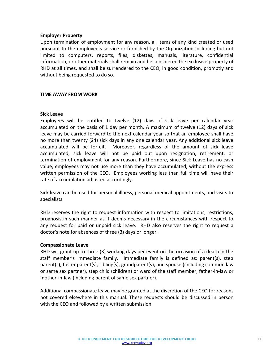## **Employer Property**

Upon termination of employment for any reason, all items of any kind created or used pursuant to the employee's service or furnished by the Organization including but not limited to computers, reports, files, diskettes, manuals, literature, confidential information, or other materials shall remain and be considered the exclusive property of RHD at all times, and shall be surrendered to the CEO, in good condition, promptly and without being requested to do so.

# **TIME AWAY FROM WORK**

### **Sick Leave**

Employees will be entitled to twelve (12) days of sick leave per calendar year accumulated on the basis of 1 day per month. A maximum of twelve (12) days of sick leave may be carried forward to the next calendar year so that an employee shall have no more than twenty (24) sick days in any one calendar year. Any additional sick leave accumulated will be forfeit. Moreover, regardless of the amount of sick leave accumulated, sick leave will not be paid out upon resignation, retirement, or termination of employment for any reason. Furthermore, since Sick Leave has no cash value, employees may not use more than they have accumulated, without the express written permission of the CEO. Employees working less than full time will have their rate of accumulation adjusted accordingly.

Sick leave can be used for personal illness, personal medical appointments, and visits to specialists.

RHD reserves the right to request information with respect to limitations, restrictions, prognosis in such manner as it deems necessary in the circumstances with respect to any request for paid or unpaid sick leave. RHD also reserves the right to request a doctor's note for absences of three (3) days or longer.

### **Compassionate Leave**

RHD will grant up to three (3) working days per event on the occasion of a death in the staff member's immediate family. Immediate family is defined as: parent(s), step parent(s), foster parent(s), sibling(s), grandparent(s), and spouse (including common law or same sex partner), step child (children) or ward of the staff member, father-in-law or mother-in-law (including parent of same sex partner).

Additional compassionate leave may be granted at the discretion of the CEO for reasons not covered elsewhere in this manual. These requests should be discussed in person with the CEO and followed by a written submission.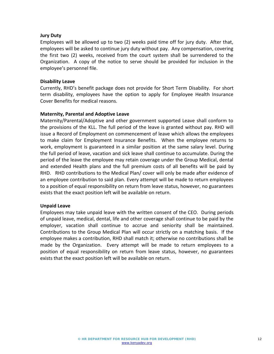# **Jury Duty**

Employees will be allowed up to two (2) weeks paid time off for jury duty. After that, employees will be asked to continue jury duty without pay. Any compensation, covering the first two (2) weeks, received from the court system shall be surrendered to the Organization. A copy of the notice to serve should be provided for inclusion in the employee's personnel file.

## **Disability Leave**

Currently, RHD's benefit package does not provide for Short Term Disability. For short term disability, employees have the option to apply for Employee Health Insurance Cover Benefits for medical reasons.

## **Maternity, Parental and Adoptive Leave**

Maternity/Parental/Adoptive and other government supported Leave shall conform to the provisions of the KLL. The full period of the leave is granted without pay. RHD will issue a Record of Employment on commencement of leave which allows the employees to make claim for Employment Insurance Benefits. When the employee returns to work, employment is guaranteed in a similar position at the same salary level. During the full period of leave, vacation and sick leave shall continue to accumulate. During the period of the leave the employee may retain coverage under the Group Medical, dental and extended Health plans and the full premium costs of all benefits will be paid by RHD. RHD contributions to the Medical Plan/ cover will only be made after evidence of an employee contribution to said plan. Every attempt will be made to return employees to a position of equal responsibility on return from leave status, however, no guarantees exists that the exact position left will be available on return.

### **Unpaid Leave**

Employees may take unpaid leave with the written consent of the CEO. During periods of unpaid leave, medical, dental, life and other coverage shall continue to be paid by the employer, vacation shall continue to accrue and seniority shall be maintained. Contributions to the Group Medical Plan will occur strictly on a matching basis. If the employee makes a contribution, RHD shall match it; otherwise no contributions shall be made by the Organization. Every attempt will be made to return employees to a position of equal responsibility on return from leave status, however, no guarantees exists that the exact position left will be available on return.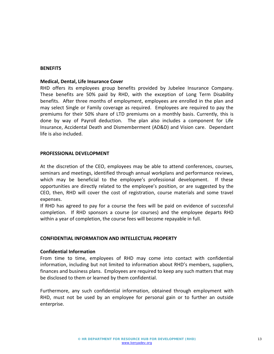#### **BENEFITS**

#### **Medical, Dental, Life Insurance Cover**

RHD offers its employees group benefits provided by Jubelee Insurance Company. These benefits are 50% paid by RHD, with the exception of Long Term Disability benefits. After three months of employment, employees are enrolled in the plan and may select Single or Family coverage as required. Employees are required to pay the premiums for their 50% share of LTD premiums on a monthly basis. Currently, this is done by way of Payroll deduction. The plan also includes a component for Life Insurance, Accidental Death and Dismemberment (AD&D) and Vision care. Dependant life is also included.

### **PROFESSIONAL DEVELOPMENT**

At the discretion of the CEO, employees may be able to attend conferences, courses, seminars and meetings, identified through annual workplans and performance reviews, which may be beneficial to the employee's professional development. If these opportunities are directly related to the employee's position, or are suggested by the CEO, then, RHD will cover the cost of registration, course materials and some travel expenses.

If RHD has agreed to pay for a course the fees will be paid on evidence of successful completion. If RHD sponsors a course (or courses) and the employee departs RHD within a year of completion, the course fees will become repayable in full.

### **CONFIDENTIAL INFORMATION AND INTELLECTUAL PROPERTY**

#### **Confidential Information**

From time to time, employees of RHD may come into contact with confidential information, including but not limited to information about RHD's members, suppliers, finances and business plans. Employees are required to keep any such matters that may be disclosed to them or learned by them confidential.

Furthermore, any such confidential information, obtained through employment with RHD, must not be used by an employee for personal gain or to further an outside enterprise.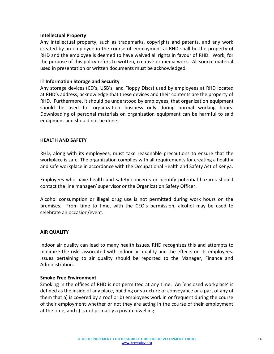## **Intellectual Property**

Any intellectual property, such as trademarks, copyrights and patents, and any work created by an employee in the course of employment at RHD shall be the property of RHD and the employee is deemed to have waived all rights in favour of RHD. Work, for the purpose of this policy refers to written, creative or media work. All source material used in presentation or written documents must be acknowledged.

## **IT Information Storage and Security**

Any storage devices (CD's, USB's, and Floppy Discs) used by employees at RHD located at RHD's address, acknowledge that these devices and their contents are the property of RHD. Furthermore, it should be understood by employees, that organization equipment should be used for organization business only during normal working hours. Downloading of personal materials on organization equipment can be harmful to said equipment and should not be done.

## **HEALTH AND SAFETY**

RHD, along with its employees, must take reasonable precautions to ensure that the workplace is safe. The organization complies with all requirements for creating a healthy and safe workplace in accordance with the Occupational Health and Safety Act of Kenya.

Employees who have health and safety concerns or identify potential hazards should contact the line manager/ supervisor or the Organization Safety Officer.

Alcohol consumption or illegal drug use is not permitted during work hours on the premises. From time to time, with the CEO's permission, alcohol may be used to celebrate an occasion/event.

### **AIR QUALITY**

Indoor air quality can lead to many health issues. RHD recognizes this and attempts to minimize the risks associated with indoor air quality and the effects on its employees. Issues pertaining to air quality should be reported to the Manager, Finance and Administration.

### **Smoke Free Environment**

Smoking in the offices of RHD is not permitted at any time. An 'enclosed workplace' is defined as the inside of any place, building or structure or conveyance or a part of any of them that a) is covered by a roof or b) employees work in or frequent during the course of their employment whether or not they are acting in the course of their employment at the time, and c) is not primarily a private dwelling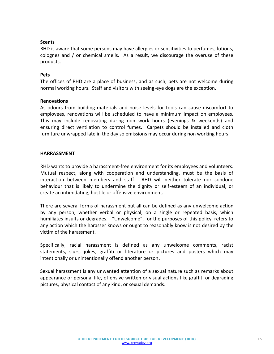# **Scents**

RHD is aware that some persons may have allergies or sensitivities to perfumes, lotions, colognes and / or chemical smells. As a result, we discourage the overuse of these products.

## **Pets**

The offices of RHD are a place of business, and as such, pets are not welcome during normal working hours. Staff and visitors with seeing-eye dogs are the exception.

## **Renovations**

As odours from building materials and noise levels for tools can cause discomfort to employees, renovations will be scheduled to have a minimum impact on employees. This may include renovating during non work hours (evenings & weekends) and ensuring direct ventilation to control fumes. Carpets should be installed and cloth furniture unwrapped late in the day so emissions may occur during non working hours.

## **HARRASSMENT**

RHD wants to provide a harassment-free environment for its employees and volunteers. Mutual respect, along with cooperation and understanding, must be the basis of interaction between members and staff. RHD will neither tolerate nor condone behaviour that is likely to undermine the dignity or self-esteem of an individual, or create an intimidating, hostile or offensive environment.

There are several forms of harassment but all can be defined as any unwelcome action by any person, whether verbal or physical, on a single or repeated basis, which humiliates insults or degrades. "Unwelcome", for the purposes of this policy, refers to any action which the harasser knows or ought to reasonably know is not desired by the victim of the harassment.

Specifically, racial harassment is defined as any unwelcome comments, racist statements, slurs, jokes, graffiti or literature or pictures and posters which may intentionally or unintentionally offend another person.

Sexual harassment is any unwanted attention of a sexual nature such as remarks about appearance or personal life, offensive written or visual actions like graffiti or degrading pictures, physical contact of any kind, or sexual demands.